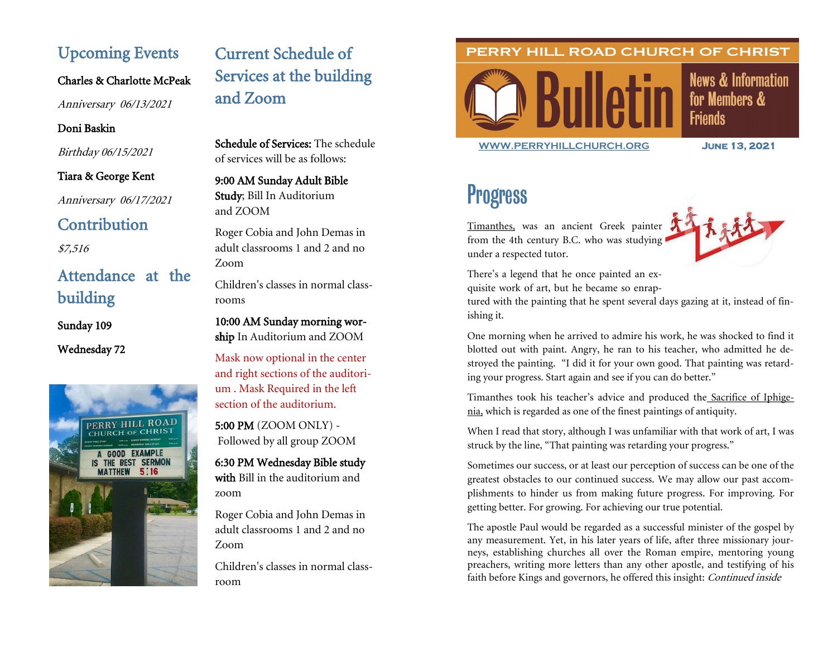# Upcoming Events

Charles & Charlotte McPeak

Anniversary 06/13/2021

## Doni Baskin

Birthday 06/15/2021

## Tiara & George Kent

Anniversary 06/17/2021

# **Contribution**

\$7,516

# Attendance at the building

Sunday 109

Wednesday 72



# Current Schedule of Services at the building and Zoom

Schedule of Services: The schedule of services will be as follows:

## 9:00 AM Sunday Adult Bible Study; Bill In Auditorium and ZOOM

Roger Cobia and John Demas in adult classrooms 1 and 2 and no Zoom

Children's classes in normal classrooms

10:00 AM Sunday morning worship In Auditorium and ZOOM

Mask now optional in the center and right sections of the auditorium . Mask Required in the left section of the auditorium.

5:00 PM (ZOOM ONLY) - Followed by all group ZOOM

6:30 PM Wednesday Bible study with Bill in the auditorium and zoom

Roger Cobia and John Demas in adult classrooms 1 and 2 and no Zoom

Children's classes in normal classroom

# PERRY HILL ROAD CHURCH OF CHRIST



**[WWW.PERRYHILLCHURCH.ORG](http://www.perryhillchurch.org) June 13, 2021** 

**News & Information** 

for Members &

**Friends** 

# Progress

[Timanthes,](https://en.wikipedia.org/wiki/Timanthes) was an ancient Greek painter from the 4th century B.C. who was studying under a respected tutor.



There's a legend that he once painted an exquisite work of art, but he became so enrap-

tured with the painting that he spent several days gazing at it, instead of finishing it.

One morning when he arrived to admire his work, he was shocked to find it blotted out with paint. Angry, he ran to his teacher, who admitted he destroyed the painting. "I did it for your own good. That painting was retarding your progress. Start again and see if you can do better."

Timanthes took his teacher's advice and produced the [Sacrifice of Iphige](https://en.wikipedia.org/wiki/Iphigenia)[nia,](https://en.wikipedia.org/wiki/Iphigenia) which is regarded as one of the finest paintings of antiquity.

When I read that story, although I was unfamiliar with that work of art, I was struck by the line, "That painting was retarding your progress."

Sometimes our success, or at least our perception of success can be one of the greatest obstacles to our continued success. We may allow our past accomplishments to hinder us from making future progress. For improving. For getting better. For growing. For achieving our true potential.

The apostle Paul would be regarded as a successful minister of the gospel by any measurement. Yet, in his later years of life, after three missionary journeys, establishing churches all over the Roman empire, mentoring young preachers, writing more letters than any other apostle, and testifying of his faith before Kings and governors, he offered this insight: Continued inside